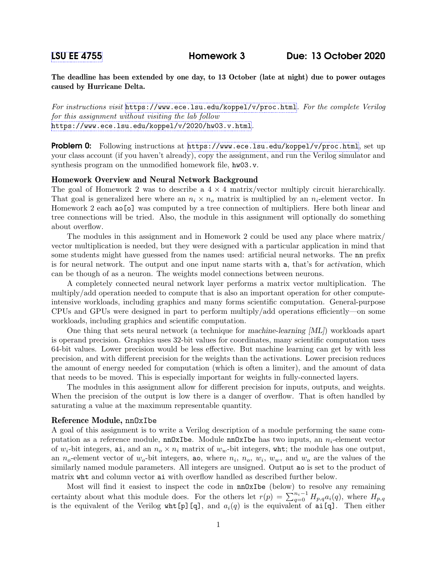The deadline has been extended by one day, to 13 October (late at night) due to power outages caused by Hurricane Delta.

For instructions visit <https://www.ece.lsu.edu/koppel/v/proc.html>. For the complete Verilog for this assignment without visiting the lab follow <https://www.ece.lsu.edu/koppel/v/2020/hw03.v.html>.

**Problem 0:** Following instructions at  $https://www.ece.lsu.edu/koppel/v/proc.html$ , set up your class account (if you haven't already), copy the assignment, and run the Verilog simulator and synthesis program on the unmodified homework file, hw03.v.

# Homework Overview and Neural Network Background

The goal of Homework 2 was to describe a  $4 \times 4$  matrix/vector multiply circuit hierarchically. That goal is generalized here where an  $n_i \times n_o$  matrix is multiplied by an  $n_i$ -element vector. In Homework 2 each ao[o] was computed by a tree connection of multipliers. Here both linear and tree connections will be tried. Also, the module in this assignment will optionally do something about overflow.

The modules in this assignment and in Homework 2 could be used any place where matrix/ vector multiplication is needed, but they were designed with a particular application in mind that some students might have guessed from the names used: artificial neural networks. The nn prefix is for neural network. The output and one input name starts with a, that's for activation, which can be though of as a neuron. The weights model connections between neurons.

A completely connected neural network layer performs a matrix vector multiplication. The multiply/add operation needed to compute that is also an important operation for other computeintensive workloads, including graphics and many forms scientific computation. General-purpose CPUs and GPUs were designed in part to perform multiply/add operations efficiently—on some workloads, including graphics and scientific computation.

One thing that sets neural network (a technique for machine-learning [ML]) workloads apart is operand precision. Graphics uses 32-bit values for coordinates, many scientific computation uses 64-bit values. Lower precision would be less effective. But machine learning can get by with less precision, and with different precision for the weights than the activations. Lower precision reduces the amount of energy needed for computation (which is often a limiter), and the amount of data that needs to be moved. This is especially important for weights in fully-connected layers.

The modules in this assignment allow for different precision for inputs, outputs, and weights. When the precision of the output is low there is a danger of overflow. That is often handled by saturating a value at the maximum representable quantity.

## Reference Module, nnOxIbe

A goal of this assignment is to write a Verilog description of a module performing the same computation as a reference module,  $nn0xIbe$ . Module  $nn0xIbe$  has two inputs, an  $n<sub>i</sub>$ -element vector of  $w_i$ -bit integers, ai, and an  $n_o \times n_i$  matrix of  $w_w$ -bit integers, whit; the module has one output, an  $n_o$ -element vector of  $w_o$ -bit integers, ao, where  $n_i$ ,  $n_o$ ,  $w_i$ ,  $w_w$ , and  $w_o$  are the values of the similarly named module parameters. All integers are unsigned. Output ao is set to the product of matrix wht and column vector ai with overflow handled as described further below.

Most will find it easiest to inspect the code in **nnOxIbe** (below) to resolve any remaining certainty about what this module does. For the others let  $r(p) = \sum_{q=0}^{n_i-1} H_{p,q} a_i(q)$ , where  $H_{p,q}$ is the equivalent of the Verilog wht[p][q], and  $a_i(q)$  is the equivalent of ai[q]. Then either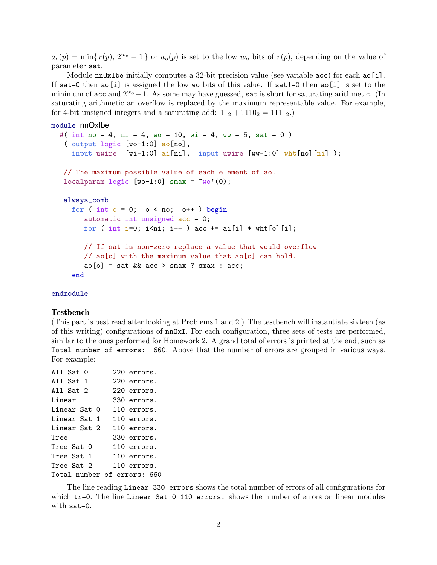$a_o(p) = \min\{r(p), 2^{w_o} - 1\}$  or  $a_o(p)$  is set to the low  $w_o$  bits of  $r(p)$ , depending on the value of parameter sat.

Module  $nn0xI$ be initially computes a 32-bit precision value (see variable  $acc$ ) for each ao[i]. If sat=0 then ao[i] is assigned the low wo bits of this value. If sat!=0 then ao[i] is set to the minimum of acc and  $2^{w_{o}}-1$ . As some may have guessed, sat is short for saturating arithmetic. (In saturating arithmetic an overflow is replaced by the maximum representable value. For example, for 4-bit unsigned integers and a saturating add:  $11_2 + 1110_2 = 1111_2$ .

```
module nnOxIbe
```

```
#( int no = 4, ni = 4, wo = 10, wi = 4, ww = 5, sat = 0)
 ( output logic [wo-1:0] ao[no],
   input uwire [wi-1:0] ai[ni], input uwire [wv-1:0] wht[no][ni]);
// The maximum possible value of each element of ao.
localparam logic [wo-1:0] smax = \sim(wo')(0);
always_comb
  for ( int o = 0; o < no; o++ ) begin
     automatic int unsigned acc = 0;
     for ( int i=0; i<ni; i++ ) acc += ai[i] * wht[o][i];
     // If sat is non-zero replace a value that would overflow
     // ao[o] with the maximum value that ao[o] can hold.
     ao[o] = sat && acc > smax ? smax : acc;
  end
```
### endmodule

#### Testbench

(This part is best read after looking at Problems 1 and 2.) The testbench will instantiate sixteen (as of this writing) configurations of nnOxI. For each configuration, three sets of tests are performed, similar to the ones performed for Homework 2. A grand total of errors is printed at the end, such as Total number of errors: 660. Above that the number of errors are grouped in various ways. For example:

| All $Sat$ $0$               | 220 errors. |
|-----------------------------|-------------|
| All Sat 1                   | 220 errors. |
| All Sat $2$                 | 220 errors. |
| Linear                      | 330 errors. |
| Linear Sat 0                | 110 errors. |
| Linear Sat 1                | 110 errors. |
| Linear Sat 2                | 110 errors. |
| Tree                        | 330 errors. |
| Tree Sat 0                  | 110 errors. |
| Tree Sat 1                  | 110 errors. |
| Tree Sat 2                  | 110 errors. |
| Total number of errors: 660 |             |

The line reading Linear 330 errors shows the total number of errors of all configurations for which tr=0. The line Linear Sat 0 110 errors. shows the number of errors on linear modules with sat=0.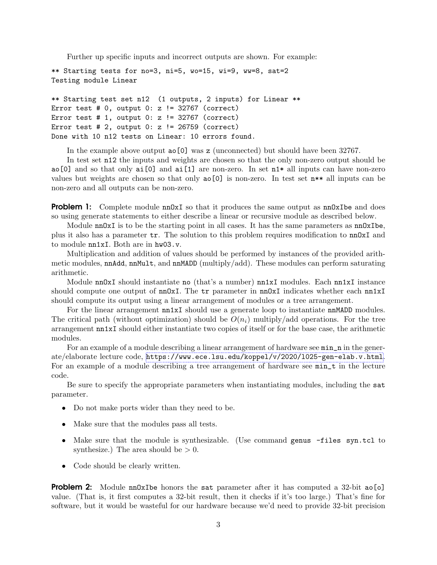Further up specific inputs and incorrect outputs are shown. For example:

\*\* Starting tests for no=3, ni=5, wo=15, wi=9, ww=8, sat=2 Testing module Linear

\*\* Starting test set n12 (1 outputs, 2 inputs) for Linear \*\* Error test  $# 0$ , output 0:  $z$  != 32767 (correct) Error test  $# 1$ , output 0:  $z$  != 32767 (correct) Error test  $# 2$ , output 0:  $z$  != 26759 (correct) Done with 10 n12 tests on Linear: 10 errors found.

In the example above output ao[0] was z (unconnected) but should have been 32767.

In test set n12 the inputs and weights are chosen so that the only non-zero output should be  $a_0[0]$  and so that only  $a_i[0]$  and  $a_i[1]$  are non-zero. In set  $n1*$  all inputs can have non-zero values but weights are chosen so that only ao[0] is non-zero. In test set n\*\* all inputs can be non-zero and all outputs can be non-zero.

**Problem 1:** Complete module  $nnOxI$  so that it produces the same output as  $nnOxI$ be and does so using generate statements to either describe a linear or recursive module as described below.

Module nn0xI is to be the starting point in all cases. It has the same parameters as nn0xIbe, plus it also has a parameter tr. The solution to this problem requires modification to nnOxI and to module nn1xI. Both are in hw03.v.

Multiplication and addition of values should be performed by instances of the provided arithmetic modules, nnAdd, nnMult, and nnMADD (multiply/add). These modules can perform saturating arithmetic.

Module nn0xI should instantiate no (that's a number) nn1xI modules. Each nn1xI instance should compute one output of  $nnOxI$ . The  $tr$  parameter in  $nnOxI$  indicates whether each  $nn1xI$ should compute its output using a linear arrangement of modules or a tree arrangement.

For the linear arrangement  $nn1xI$  should use a generate loop to instantiate nnMADD modules. The critical path (without optimization) should be  $O(n_i)$  multiply/add operations. For the tree arrangement nn1xI should either instantiate two copies of itself or for the base case, the arithmetic modules.

For an example of a module describing a linear arrangement of hardware see  $min\_n$  in the generate/elaborate lecture code, <https://www.ece.lsu.edu/koppel/v/2020/l025-gen-elab.v.html>. For an example of a module describing a tree arrangement of hardware see  $min_{\tau}$  t in the lecture code.

Be sure to specify the appropriate parameters when instantiating modules, including the sat parameter.

- Do not make ports wider than they need to be.
- Make sure that the modules pass all tests.
- Make sure that the module is synthesizable. (Use command genus -files syn.tcl to synthesize.) The area should be  $> 0$ .
- Code should be clearly written.

**Problem 2:** Module  $nn0xI$ be honors the sat parameter after it has computed a 32-bit  $ao[*o*]$ value. (That is, it first computes a 32-bit result, then it checks if it's too large.) That's fine for software, but it would be wasteful for our hardware because we'd need to provide 32-bit precision